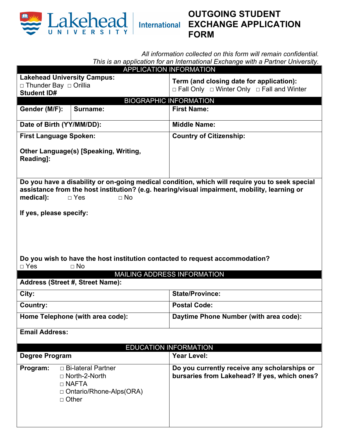

# **OUTGOING STUDENT EXCHANGE APPLICATION FORM**

*All information collected on this form will remain confidential. This is an application for an International Exchange with a Partner University.* 

| Term (and closing date for application):                                                                                                                                                       |
|------------------------------------------------------------------------------------------------------------------------------------------------------------------------------------------------|
| □ Fall Only □ Winter Only □ Fall and Winter                                                                                                                                                    |
| <b>BIOGRAPHIC INFORMATION</b>                                                                                                                                                                  |
| <b>First Name:</b>                                                                                                                                                                             |
|                                                                                                                                                                                                |
| <b>Middle Name:</b>                                                                                                                                                                            |
| <b>Country of Citizenship:</b>                                                                                                                                                                 |
|                                                                                                                                                                                                |
| Do you have a disability or on-going medical condition, which will require you to seek special<br>assistance from the host institution? (e.g. hearing/visual impairment, mobility, learning or |
|                                                                                                                                                                                                |
|                                                                                                                                                                                                |
|                                                                                                                                                                                                |
|                                                                                                                                                                                                |
|                                                                                                                                                                                                |
|                                                                                                                                                                                                |
| Do you wish to have the host institution contacted to request accommodation?                                                                                                                   |
|                                                                                                                                                                                                |
| MAILING ADDRESS INFORMATION                                                                                                                                                                    |
| <b>State/Province:</b>                                                                                                                                                                         |
|                                                                                                                                                                                                |
| <b>Postal Code:</b>                                                                                                                                                                            |
| Daytime Phone Number (with area code):                                                                                                                                                         |
|                                                                                                                                                                                                |
|                                                                                                                                                                                                |
| <b>EDUCATION INFORMATION</b><br><b>Year Level:</b><br>Do you currently receive any scholarships or                                                                                             |
|                                                                                                                                                                                                |